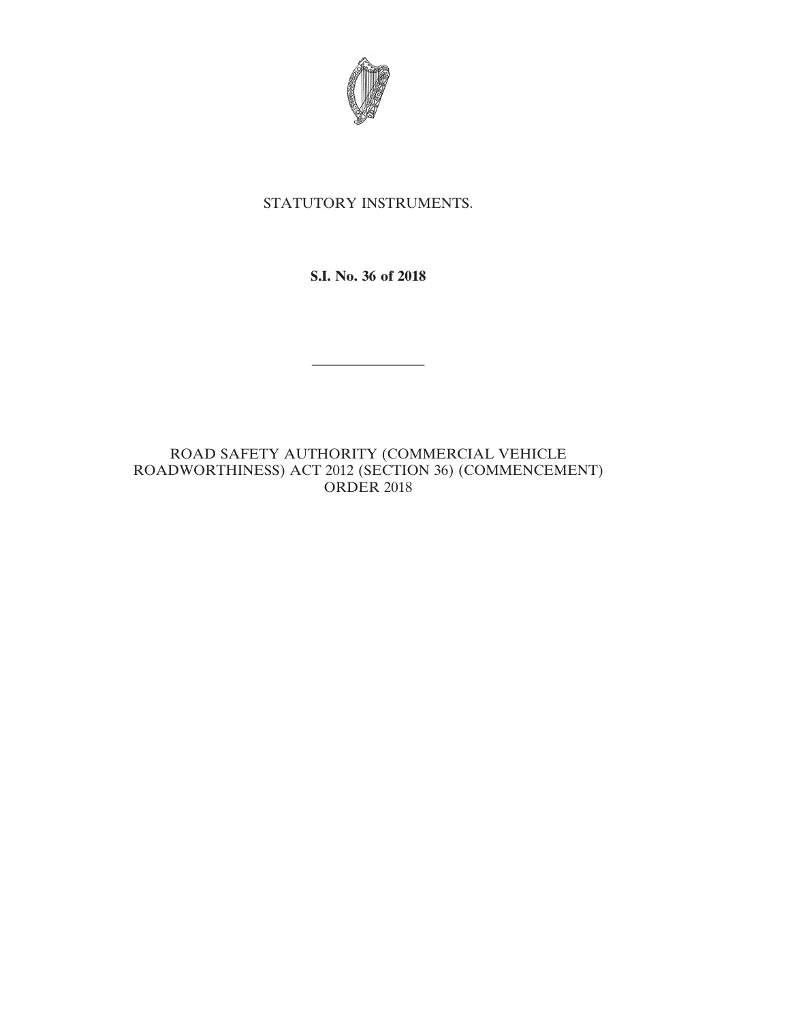

## STATUTORY INSTRUMENTS.

**S.I. No. 36 of 2018**

————————

ROAD SAFETY AUTHORITY (COMMERCIAL VEHICLE ROADWORTHINESS) ACT 2012 (SECTION 36) (COMMENCEMENT) ORDER 2018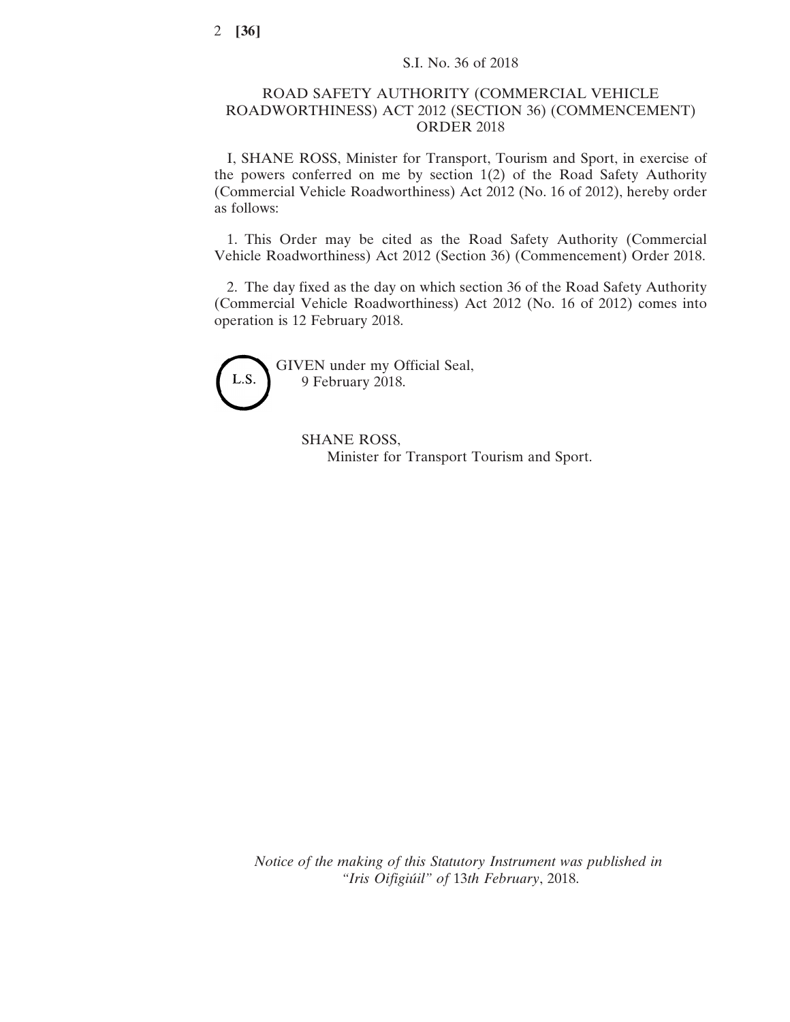## ROAD SAFETY AUTHORITY (COMMERCIAL VEHICLE ROADWORTHINESS) ACT 2012 (SECTION 36) (COMMENCEMENT) ORDER 2018

I, SHANE ROSS, Minister for Transport, Tourism and Sport, in exercise of the powers conferred on me by section 1(2) of the Road Safety Authority (Commercial Vehicle Roadworthiness) Act 2012 (No. 16 of 2012), hereby order as follows:

1. This Order may be cited as the Road Safety Authority (Commercial Vehicle Roadworthiness) Act 2012 (Section 36) (Commencement) Order 2018.

2. The day fixed as the day on which section 36 of the Road Safety Authority (Commercial Vehicle Roadworthiness) Act 2012 (No. 16 of 2012) comes into operation is 12 February 2018.



GIVEN under my Official Seal, 9 February 2018.

> SHANE ROSS, Minister for Transport Tourism and Sport.

*Notice of the making of this Statutory Instrument was published in "Iris Oifigiúil" of* 13*th February*, 2018.